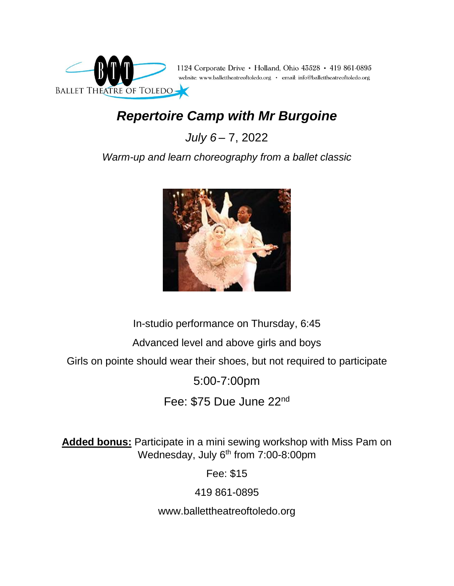

## *Repertoire Camp with Mr Burgoine*

*July 6* – 7, 2022

*Warm-up and learn choreography from a ballet classic*



In-studio performance on Thursday, 6:45

Advanced level and above girls and boys

Girls on pointe should wear their shoes, but not required to participate

5:00-7:00pm

Fee: \$75 Due June 22nd

**Added bonus:** Participate in a mini sewing workshop with Miss Pam on Wednesday, July 6<sup>th</sup> from 7:00-8:00pm

Fee: \$15

419 861-0895

www.ballettheatreoftoledo.org